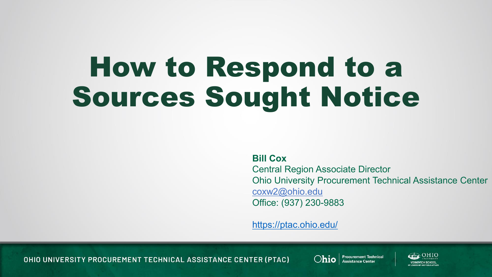## How to Respond to a Sources Sought Notice

**Bill Cox**

Central Region Associate Director Ohio University Procurement Technical Assistance Center coxw2@ohio.edu Office: (937) 230-9883

<https://ptac.ohio.edu/>

OHIO UNIVERSITY PROCUREMENT TECHNICAL ASSISTANCE CENTER (PTAC)



**Chio** | Procurement Technical

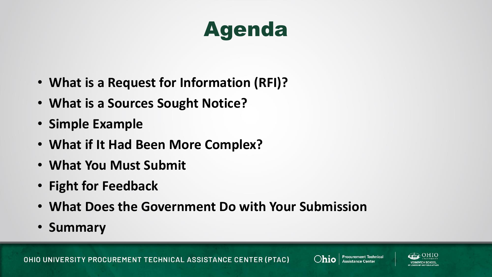#### Agenda

- **What is a Request for Information (RFI)?**
- **What is a Sources Sought Notice?**
- **Simple Example**
- **What if It Had Been More Complex?**
- **What You Must Submit**
- **Fight for Feedback**
- **What Does the Government Do with Your Submission**
- **Summary**

OHIO UNIVERSITY PROCUREMENT TECHNICAL ASSISTANCE CENTER (PTAC)



**Procurement Technical**<br>Assistance Center

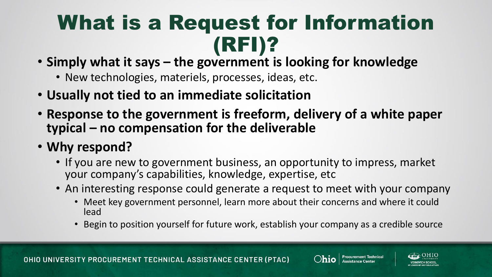#### What is a Request for Information (RFI)?

- **Simply what it says – the government is looking for knowledge**
	- New technologies, materiels, processes, ideas, etc.
- **Usually not tied to an immediate solicitation**
- **Response to the government is freeform, delivery of a white paper typical – no compensation for the deliverable**
- **Why respond?**
	- If you are new to government business, an opportunity to impress, market your company's capabilities, knowledge, expertise, etc
	- An interesting response could generate a request to meet with your company
		- Meet key government personnel, learn more about their concerns and where it could lead
		- Begin to position yourself for future work, establish your company as a credible source



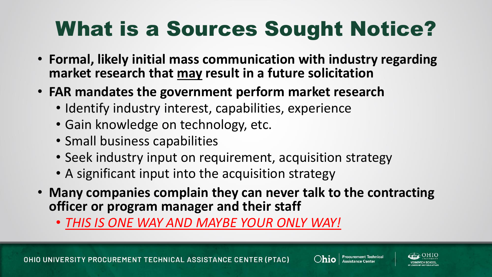### What is a Sources Sought Notice?

- **Formal, likely initial mass communication with industry regarding market research that may result in a future solicitation**
- **FAR mandates the government perform market research**
	- Identify industry interest, capabilities, experience
	- Gain knowledge on technology, etc.
	- Small business capabilities
	- Seek industry input on requirement, acquisition strategy
	- A significant input into the acquisition strategy
- **Many companies complain they can never talk to the contracting officer or program manager and their staff**
	- *THIS IS ONE WAY AND MAYBE YOUR ONLY WAY!*

OHIO UNIVERSITY PROCUREMENT TECHNICAL ASSISTANCE CENTER (PTAC)



**Procurement Technical**<br>Assistance Center

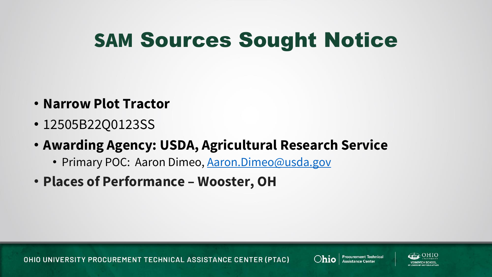#### SAM Sources Sought Notice

- **Narrow Plot Tractor**
- 12505B22Q0123SS
- **Awarding Agency: USDA, Agricultural Research Service**
	- Primary POC: Aaron Dimeo, [Aaron.Dimeo@usda.gov](mailto:Aaron.Dimeo@usda.gov)
- **Places of Performance – Wooster, OH**



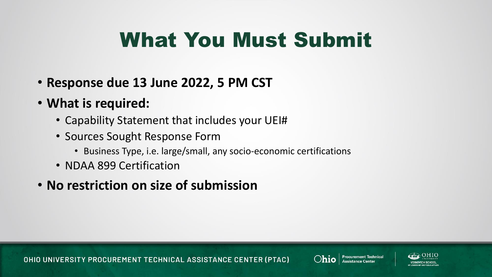#### What You Must Submit

- **Response due 13 June 2022, 5 PM CST**
- **What is required:**
	- Capability Statement that includes your UEI#
	- Sources Sought Response Form
		- Business Type, i.e. large/small, any socio-economic certifications
	- NDAA 899 Certification
- **No restriction on size of submission**



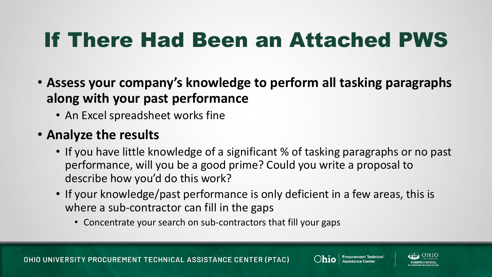#### If There Had Been an Attached PWS

- **Assess your company's knowledge to perform all tasking paragraphs along with your past performance**
	- An Excel spreadsheet works fine

#### • **Analyze the results**

- If you have little knowledge of a significant % of tasking paragraphs or no past performance, will you be a good prime? Could you write a proposal to describe how you'd do this work?
- If your knowledge/past performance is only deficient in a few areas, this is where a sub-contractor can fill in the gaps
	- Concentrate your search on sub-contractors that fill your gaps



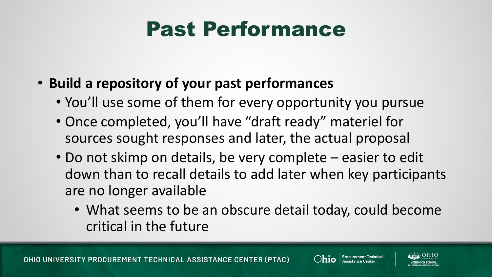#### Past Performance

- **Build a repository of your past performances**
	- You'll use some of them for every opportunity you pursue
	- Once completed, you'll have "draft ready" materiel for sources sought responses and later, the actual proposal
	- Do not skimp on details, be very complete easier to edit down than to recall details to add later when key participants are no longer available
		- What seems to be an obscure detail today, could become critical in the future



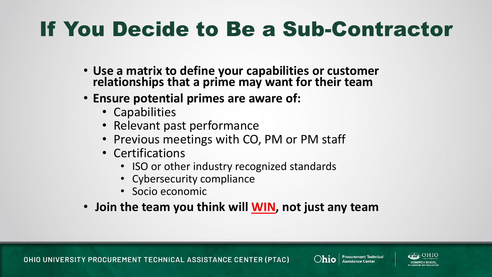#### If You Decide to Be a Sub-Contractor

- **Use a matrix to define your capabilities or customer relationships that a prime may want for their team**
- **Ensure potential primes are aware of:**
	- Capabilities
	- Relevant past performance
	- Previous meetings with CO, PM or PM staff
	- Certifications
		- ISO or other industry recognized standards
		- Cybersecurity compliance
		- Socio economic
- **Join the team you think will WIN, not just any team**





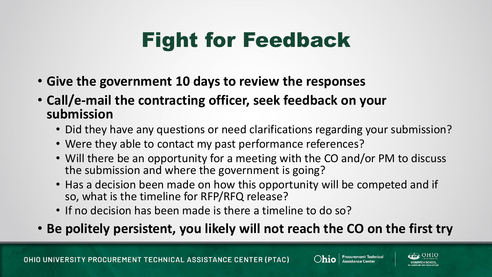#### Fight for Feedback

- **Give the government 10 days to review the responses**
- **Call/e-mail the contracting officer, seek feedback on your submission**
	- Did they have any questions or need clarifications regarding your submission?
	- Were they able to contact my past performance references?
	- Will there be an opportunity for a meeting with the CO and/or PM to discuss the submission and where the government is going?
	- Has a decision been made on how this opportunity will be competed and if so, what is the timeline for RFP/RFQ release?
	- If no decision has been made is there a timeline to do so?
- **Be politely persistent, you likely will not reach the CO on the first try**





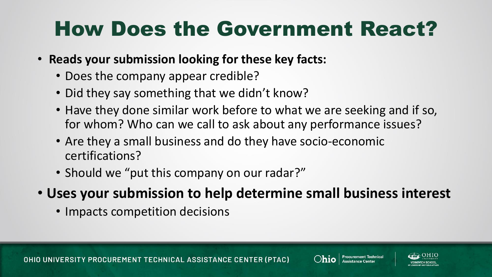#### How Does the Government React?

- **Reads your submission looking for these key facts:**
	- Does the company appear credible?
	- Did they say something that we didn't know?
	- Have they done similar work before to what we are seeking and if so, for whom? Who can we call to ask about any performance issues?
	- Are they a small business and do they have socio-economic certifications?
	- Should we "put this company on our radar?"
- **Uses your submission to help determine small business interest**
	- Impacts competition decisions



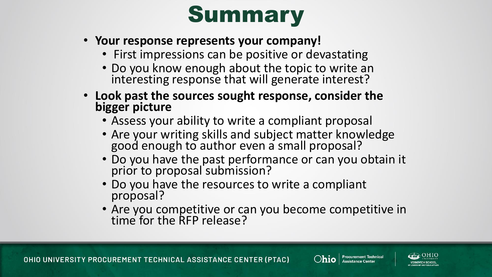## Summary

- **Your response represents your company!**
	- First impressions can be positive or devastating
	- Do you know enough about the topic to write an interesting response that will generate interest?
- **Look past the sources sought response, consider the bigger picture**
	- Assess your ability to write a compliant proposal
	- Are your writing skills and subject matter knowledge good enough to author even a small proposal?
	- Do you have the past performance or can you obtain it prior to proposal submission?
	- Do you have the resources to write a compliant proposal?
	- Are you competitive or can you become competitive in time for the RFP release?